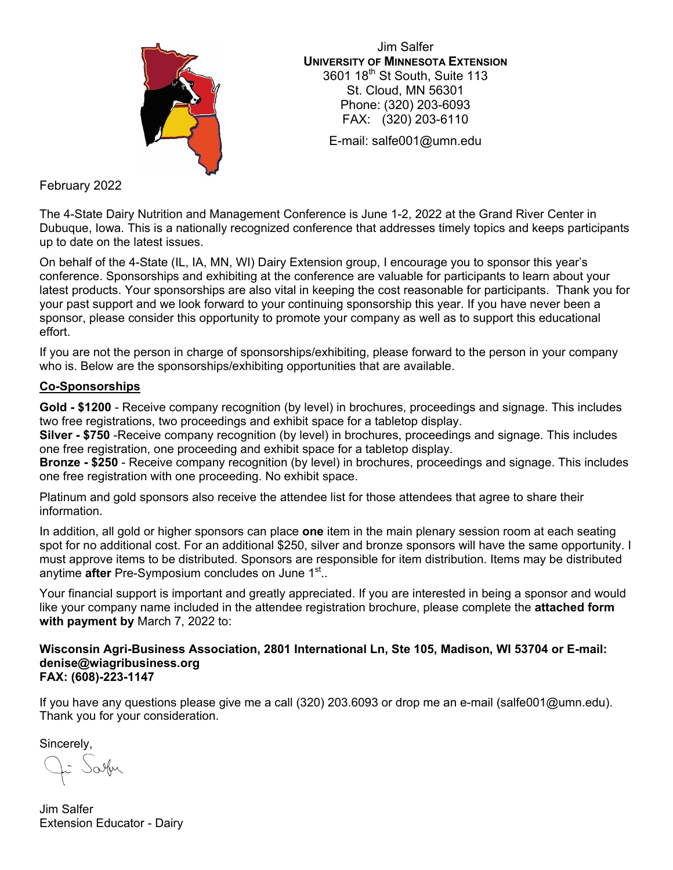

Jim Salfer **UNIVERSITY OF MINNESOTA EXTENSION** 3601 18<sup>th</sup> St South, Suite 113 St. Cloud, MN 56301 Phone: (320) 203-6093 FAX: (320) 203-6110

E-mail: salfe001@umn.edu

February 2022

The 4-State Dairy Nutrition and Management Conference is June 1-2, 2022 at the Grand River Center in Dubuque, Iowa. This is a nationally recognized conference that addresses timely topics and keeps participants up to date on the latest issues.

On behalf of the 4-State (IL, IA, MN, WI) Dairy Extension group, I encourage you to sponsor this year's conference. Sponsorships and exhibiting at the conference are valuable for participants to learn about your latest products. Your sponsorships are also vital in keeping the cost reasonable for participants. Thank you for your past support and we look forward to your continuing sponsorship this year. If you have never been a sponsor, please consider this opportunity to promote your company as well as to support this educational effort.

If you are not the person in charge of sponsorships/exhibiting, please forward to the person in your company who is. Below are the sponsorships/exhibiting opportunities that are available.

## **Co-Sponsorships**

**Gold - \$1200** - Receive company recognition (by level) in brochures, proceedings and signage. This includes two free registrations, two proceedings and exhibit space for a tabletop display.

**Silver - \$750** -Receive company recognition (by level) in brochures, proceedings and signage. This includes one free registration, one proceeding and exhibit space for a tabletop display.

**Bronze - \$250** - Receive company recognition (by level) in brochures, proceedings and signage. This includes one free registration with one proceeding. No exhibit space.

Platinum and gold sponsors also receive the attendee list for those attendees that agree to share their information.

In addition, all gold or higher sponsors can place **one** item in the main plenary session room at each seating spot for no additional cost. For an additional \$250, silver and bronze sponsors will have the same opportunity. I must approve items to be distributed. Sponsors are responsible for item distribution. Items may be distributed anytime **after** Pre-Symposium concludes on June 1<sup>st</sup>..

Your financial support is important and greatly appreciated. If you are interested in being a sponsor and would like your company name included in the attendee registration brochure, please complete the **attached form with payment by** March 7, 2022 to:

**Wisconsin Agri-Business Association, 2801 International Ln, Ste 105, Madison, WI 53704 or E-mail: denise@wiagribusiness.org FAX: (608)-223-1147** 

If you have any questions please give me a call (320) 203.6093 or drop me an e-mail (salfe001@umn.edu). Thank you for your consideration.

Sincerely,

Salfer

Jim Salfer Extension Educator - Dairy